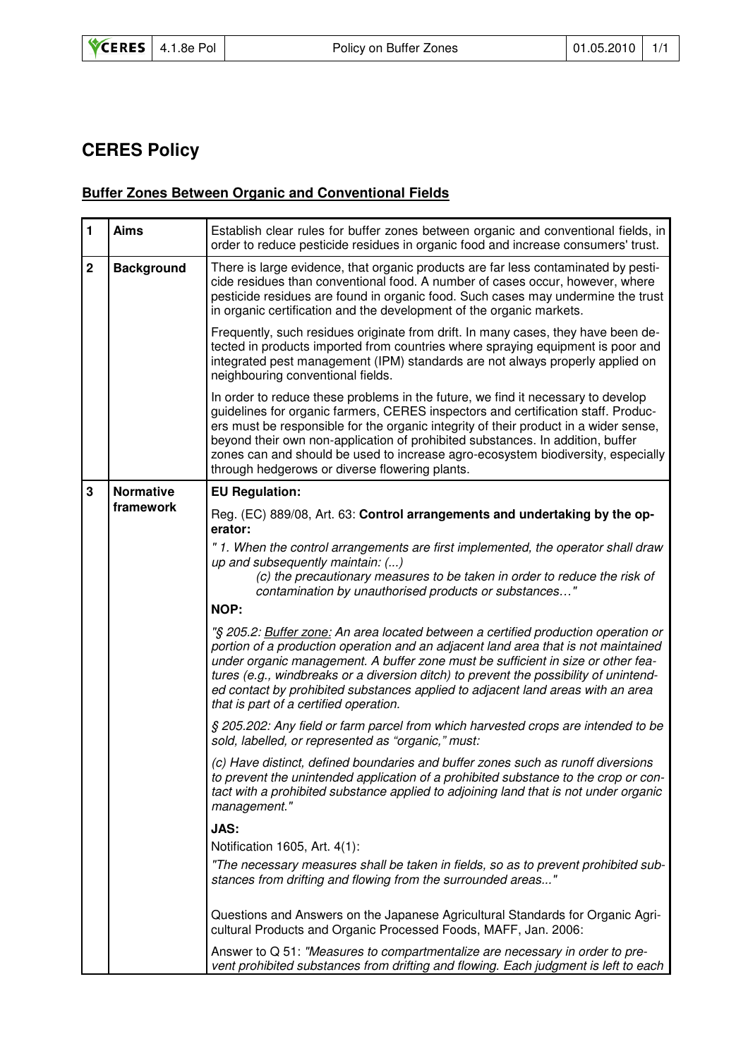## **CERES Policy**

## **Buffer Zones Between Organic and Conventional Fields**

| $\mathbf{1}$                  | <b>Aims</b>                   | Establish clear rules for buffer zones between organic and conventional fields, in<br>order to reduce pesticide residues in organic food and increase consumers' trust.                                                                                                                                                                                                                                                                                                               |  |  |  |
|-------------------------------|-------------------------------|---------------------------------------------------------------------------------------------------------------------------------------------------------------------------------------------------------------------------------------------------------------------------------------------------------------------------------------------------------------------------------------------------------------------------------------------------------------------------------------|--|--|--|
| $\mathbf 2$                   | <b>Background</b>             | There is large evidence, that organic products are far less contaminated by pesti-<br>cide residues than conventional food. A number of cases occur, however, where<br>pesticide residues are found in organic food. Such cases may undermine the trust<br>in organic certification and the development of the organic markets.                                                                                                                                                       |  |  |  |
|                               |                               | Frequently, such residues originate from drift. In many cases, they have been de-<br>tected in products imported from countries where spraying equipment is poor and<br>integrated pest management (IPM) standards are not always properly applied on<br>neighbouring conventional fields.                                                                                                                                                                                            |  |  |  |
|                               |                               | In order to reduce these problems in the future, we find it necessary to develop<br>guidelines for organic farmers, CERES inspectors and certification staff. Produc-<br>ers must be responsible for the organic integrity of their product in a wider sense,<br>beyond their own non-application of prohibited substances. In addition, buffer<br>zones can and should be used to increase agro-ecosystem biodiversity, especially<br>through hedgerows or diverse flowering plants. |  |  |  |
| 3                             | <b>Normative</b><br>framework | <b>EU Regulation:</b>                                                                                                                                                                                                                                                                                                                                                                                                                                                                 |  |  |  |
|                               |                               | Reg. (EC) 889/08, Art. 63: Control arrangements and undertaking by the op-<br>erator:                                                                                                                                                                                                                                                                                                                                                                                                 |  |  |  |
|                               |                               | "1. When the control arrangements are first implemented, the operator shall draw<br>up and subsequently maintain: ()                                                                                                                                                                                                                                                                                                                                                                  |  |  |  |
|                               |                               | (c) the precautionary measures to be taken in order to reduce the risk of<br>contamination by unauthorised products or substances"                                                                                                                                                                                                                                                                                                                                                    |  |  |  |
|                               |                               | NOP:                                                                                                                                                                                                                                                                                                                                                                                                                                                                                  |  |  |  |
|                               |                               | "§ 205.2: Buffer zone: An area located between a certified production operation or<br>portion of a production operation and an adjacent land area that is not maintained<br>under organic management. A buffer zone must be sufficient in size or other fea-<br>tures (e.g., windbreaks or a diversion ditch) to prevent the possibility of unintend-<br>ed contact by prohibited substances applied to adjacent land areas with an area<br>that is part of a certified operation.    |  |  |  |
|                               |                               | § 205.202: Any field or farm parcel from which harvested crops are intended to be<br>sold, labelled, or represented as "organic," must:                                                                                                                                                                                                                                                                                                                                               |  |  |  |
|                               |                               | (c) Have distinct, defined boundaries and buffer zones such as runoff diversions<br>to prevent the unintended application of a prohibited substance to the crop or con-<br>tact with a prohibited substance applied to adjoining land that is not under organic<br>management."                                                                                                                                                                                                       |  |  |  |
|                               | <b>JAS:</b>                   |                                                                                                                                                                                                                                                                                                                                                                                                                                                                                       |  |  |  |
| Notification 1605, Art. 4(1): |                               |                                                                                                                                                                                                                                                                                                                                                                                                                                                                                       |  |  |  |
|                               |                               | "The necessary measures shall be taken in fields, so as to prevent prohibited sub-<br>stances from drifting and flowing from the surrounded areas"                                                                                                                                                                                                                                                                                                                                    |  |  |  |
|                               |                               | Questions and Answers on the Japanese Agricultural Standards for Organic Agri-<br>cultural Products and Organic Processed Foods, MAFF, Jan. 2006:                                                                                                                                                                                                                                                                                                                                     |  |  |  |
|                               |                               | Answer to Q 51: "Measures to compartmentalize are necessary in order to pre-<br>vent prohibited substances from drifting and flowing. Each judgment is left to each                                                                                                                                                                                                                                                                                                                   |  |  |  |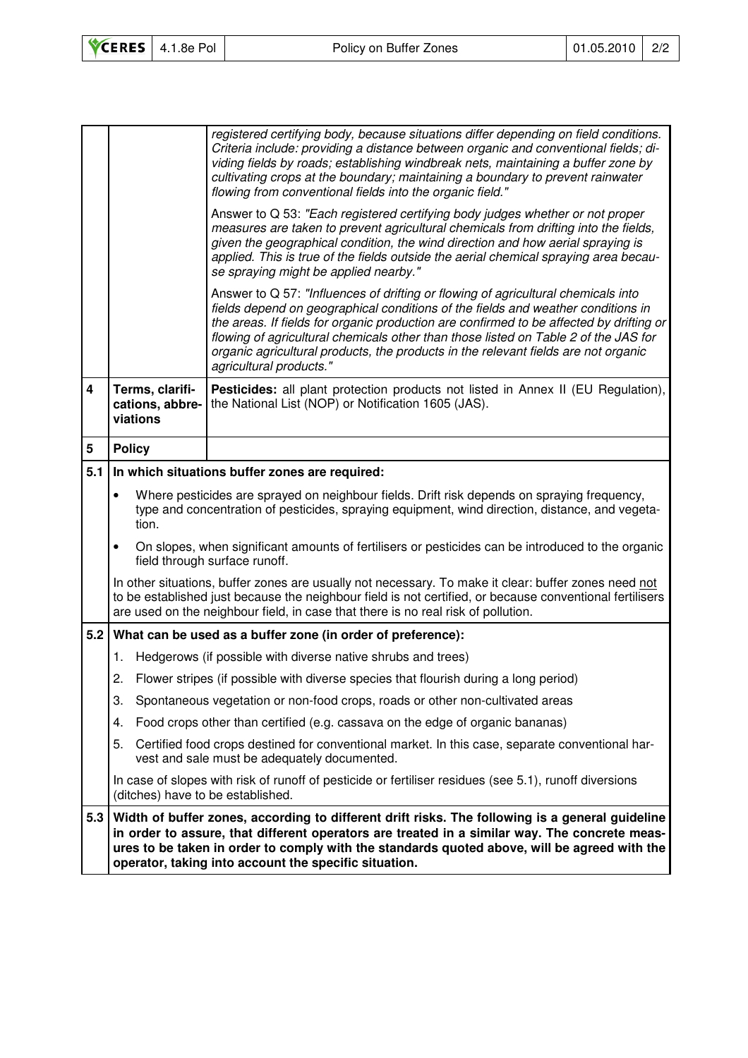|                         |                                                                                                                                                                                                                                                                                                                                                           | registered certifying body, because situations differ depending on field conditions.<br>Criteria include: providing a distance between organic and conventional fields; di-<br>viding fields by roads; establishing windbreak nets, maintaining a buffer zone by<br>cultivating crops at the boundary; maintaining a boundary to prevent rainwater<br>flowing from conventional fields into the organic field."                                                          |  |  |  |  |
|-------------------------|-----------------------------------------------------------------------------------------------------------------------------------------------------------------------------------------------------------------------------------------------------------------------------------------------------------------------------------------------------------|--------------------------------------------------------------------------------------------------------------------------------------------------------------------------------------------------------------------------------------------------------------------------------------------------------------------------------------------------------------------------------------------------------------------------------------------------------------------------|--|--|--|--|
|                         |                                                                                                                                                                                                                                                                                                                                                           | Answer to Q 53: "Each registered certifying body judges whether or not proper<br>measures are taken to prevent agricultural chemicals from drifting into the fields,<br>given the geographical condition, the wind direction and how aerial spraying is<br>applied. This is true of the fields outside the aerial chemical spraying area becau-<br>se spraying might be applied nearby."                                                                                 |  |  |  |  |
|                         |                                                                                                                                                                                                                                                                                                                                                           | Answer to Q 57: "Influences of drifting or flowing of agricultural chemicals into<br>fields depend on geographical conditions of the fields and weather conditions in<br>the areas. If fields for organic production are confirmed to be affected by drifting or<br>flowing of agricultural chemicals other than those listed on Table 2 of the JAS for<br>organic agricultural products, the products in the relevant fields are not organic<br>agricultural products." |  |  |  |  |
| $\overline{\mathbf{4}}$ | Terms, clarifi-<br>cations, abbre-<br>viations                                                                                                                                                                                                                                                                                                            | Pesticides: all plant protection products not listed in Annex II (EU Regulation),<br>the National List (NOP) or Notification 1605 (JAS).                                                                                                                                                                                                                                                                                                                                 |  |  |  |  |
| 5                       | <b>Policy</b>                                                                                                                                                                                                                                                                                                                                             |                                                                                                                                                                                                                                                                                                                                                                                                                                                                          |  |  |  |  |
| 5.1                     | In which situations buffer zones are required:                                                                                                                                                                                                                                                                                                            |                                                                                                                                                                                                                                                                                                                                                                                                                                                                          |  |  |  |  |
|                         | $\bullet$<br>Where pesticides are sprayed on neighbour fields. Drift risk depends on spraying frequency,<br>type and concentration of pesticides, spraying equipment, wind direction, distance, and vegeta-<br>tion.                                                                                                                                      |                                                                                                                                                                                                                                                                                                                                                                                                                                                                          |  |  |  |  |
|                         | On slopes, when significant amounts of fertilisers or pesticides can be introduced to the organic<br>$\bullet$<br>field through surface runoff.                                                                                                                                                                                                           |                                                                                                                                                                                                                                                                                                                                                                                                                                                                          |  |  |  |  |
|                         | In other situations, buffer zones are usually not necessary. To make it clear: buffer zones need not<br>to be established just because the neighbour field is not certified, or because conventional fertilisers<br>are used on the neighbour field, in case that there is no real risk of pollution.                                                     |                                                                                                                                                                                                                                                                                                                                                                                                                                                                          |  |  |  |  |
|                         | 5.2 What can be used as a buffer zone (in order of preference):                                                                                                                                                                                                                                                                                           |                                                                                                                                                                                                                                                                                                                                                                                                                                                                          |  |  |  |  |
|                         | Hedgerows (if possible with diverse native shrubs and trees)<br>1.                                                                                                                                                                                                                                                                                        |                                                                                                                                                                                                                                                                                                                                                                                                                                                                          |  |  |  |  |
|                         | 2.<br>Flower stripes (if possible with diverse species that flourish during a long period)                                                                                                                                                                                                                                                                |                                                                                                                                                                                                                                                                                                                                                                                                                                                                          |  |  |  |  |
|                         | 3.<br>Spontaneous vegetation or non-food crops, roads or other non-cultivated areas                                                                                                                                                                                                                                                                       |                                                                                                                                                                                                                                                                                                                                                                                                                                                                          |  |  |  |  |
|                         | Food crops other than certified (e.g. cassava on the edge of organic bananas)<br>4.                                                                                                                                                                                                                                                                       |                                                                                                                                                                                                                                                                                                                                                                                                                                                                          |  |  |  |  |
|                         | 5.<br>Certified food crops destined for conventional market. In this case, separate conventional har-<br>vest and sale must be adequately documented.                                                                                                                                                                                                     |                                                                                                                                                                                                                                                                                                                                                                                                                                                                          |  |  |  |  |
|                         | In case of slopes with risk of runoff of pesticide or fertiliser residues (see 5.1), runoff diversions<br>(ditches) have to be established.                                                                                                                                                                                                               |                                                                                                                                                                                                                                                                                                                                                                                                                                                                          |  |  |  |  |
| 5.3                     | Width of buffer zones, according to different drift risks. The following is a general guideline<br>in order to assure, that different operators are treated in a similar way. The concrete meas-<br>ures to be taken in order to comply with the standards quoted above, will be agreed with the<br>operator, taking into account the specific situation. |                                                                                                                                                                                                                                                                                                                                                                                                                                                                          |  |  |  |  |